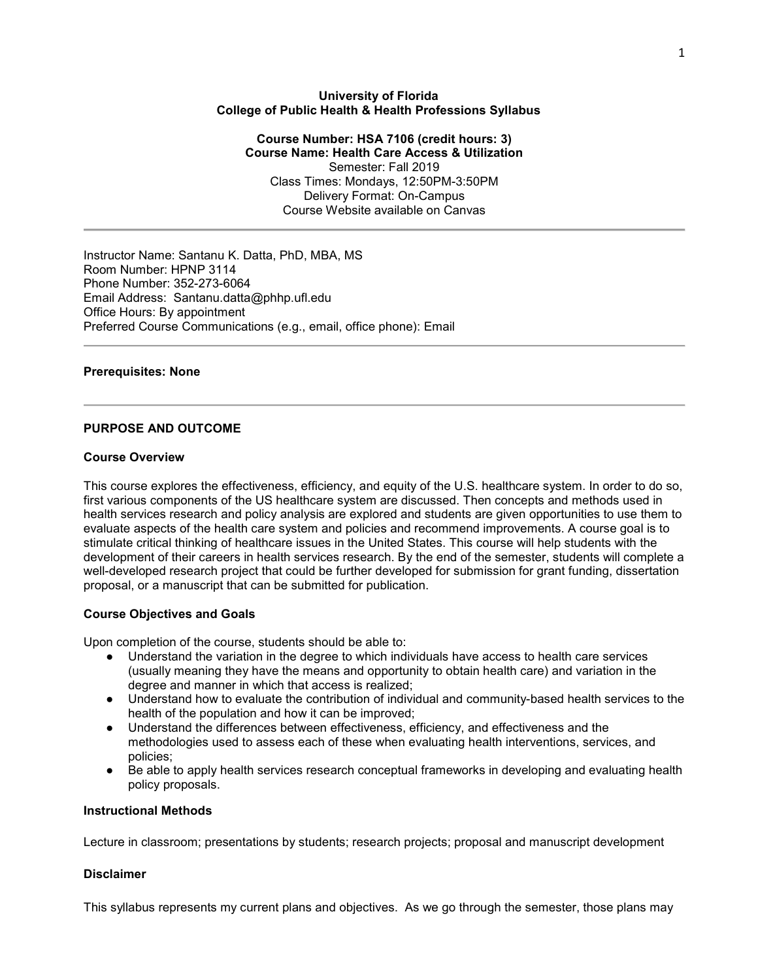#### **University of Florida College of Public Health & Health Professions Syllabus**

**Course Number: HSA 7106 (credit hours: 3) Course Name: Health Care Access & Utilization** Semester: Fall 2019 Class Times: Mondays, 12:50PM-3:50PM Delivery Format: On-Campus Course Website available on Canvas

Instructor Name: Santanu K. Datta, PhD, MBA, MS Room Number: HPNP 3114 Phone Number: 352-273-6064 Email Address: Santanu.datta@phhp.ufl.edu Office Hours: By appointment Preferred Course Communications (e.g., email, office phone): Email

# **Prerequisites: None**

# **PURPOSE AND OUTCOME**

#### **Course Overview**

This course explores the effectiveness, efficiency, and equity of the U.S. healthcare system. In order to do so, first various components of the US healthcare system are discussed. Then concepts and methods used in health services research and policy analysis are explored and students are given opportunities to use them to evaluate aspects of the health care system and policies and recommend improvements. A course goal is to stimulate critical thinking of healthcare issues in the United States. This course will help students with the development of their careers in health services research. By the end of the semester, students will complete a well-developed research project that could be further developed for submission for grant funding, dissertation proposal, or a manuscript that can be submitted for publication.

## **Course Objectives and Goals**

Upon completion of the course, students should be able to:

- Understand the variation in the degree to which individuals have access to health care services (usually meaning they have the means and opportunity to obtain health care) and variation in the degree and manner in which that access is realized;
- Understand how to evaluate the contribution of individual and community-based health services to the health of the population and how it can be improved;
- Understand the differences between effectiveness, efficiency, and effectiveness and the methodologies used to assess each of these when evaluating health interventions, services, and policies;
- Be able to apply health services research conceptual frameworks in developing and evaluating health policy proposals.

#### **Instructional Methods**

Lecture in classroom; presentations by students; research projects; proposal and manuscript development

## **Disclaimer**

This syllabus represents my current plans and objectives. As we go through the semester, those plans may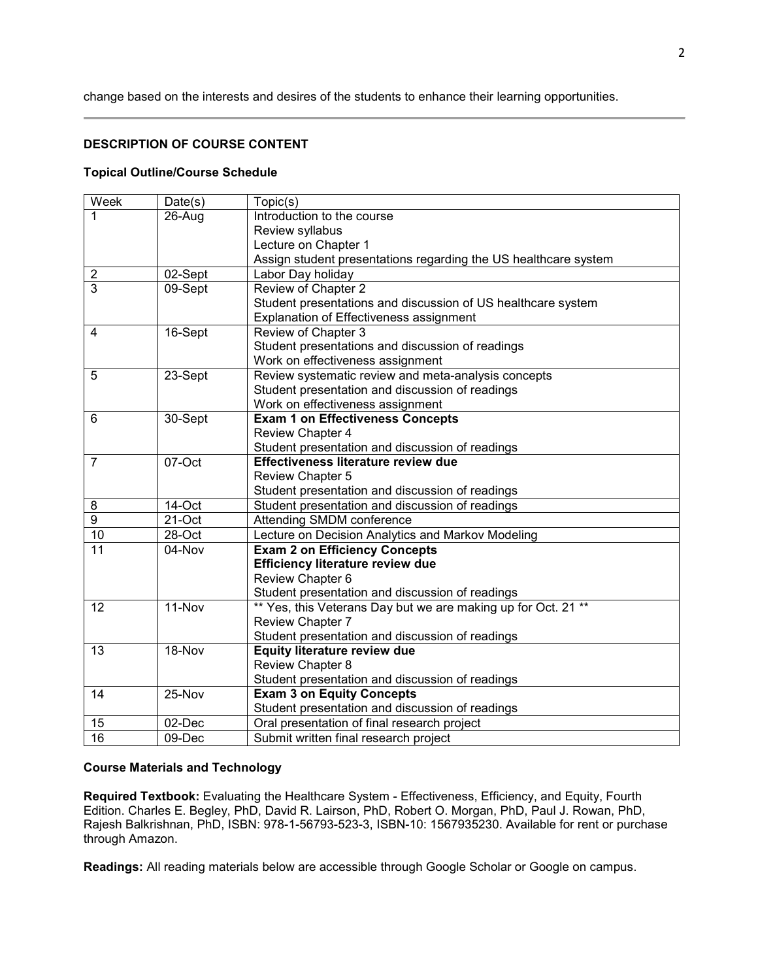change based on the interests and desires of the students to enhance their learning opportunities.

# **DESCRIPTION OF COURSE CONTENT**

#### **Topical Outline/Course Schedule**

| Week           | Date(s)  | Topic(s)                                                        |
|----------------|----------|-----------------------------------------------------------------|
| 1              | 26-Aug   | Introduction to the course                                      |
|                |          | Review syllabus                                                 |
|                |          | Lecture on Chapter 1                                            |
|                |          | Assign student presentations regarding the US healthcare system |
| $\overline{2}$ | 02-Sept  | Labor Day holiday                                               |
| 3              | 09-Sept  | Review of Chapter 2                                             |
|                |          | Student presentations and discussion of US healthcare system    |
|                |          | Explanation of Effectiveness assignment                         |
| $\overline{4}$ | 16-Sept  | Review of Chapter 3                                             |
|                |          | Student presentations and discussion of readings                |
|                |          | Work on effectiveness assignment                                |
| 5              | 23-Sept  | Review systematic review and meta-analysis concepts             |
|                |          | Student presentation and discussion of readings                 |
|                |          | Work on effectiveness assignment                                |
| 6              | 30-Sept  | <b>Exam 1 on Effectiveness Concepts</b>                         |
|                |          | Review Chapter 4                                                |
|                |          | Student presentation and discussion of readings                 |
| 7              | 07-Oct   | <b>Effectiveness literature review due</b>                      |
|                |          | Review Chapter 5                                                |
|                |          | Student presentation and discussion of readings                 |
| 8              | 14-Oct   | Student presentation and discussion of readings                 |
| $\overline{9}$ | 21-Oct   | Attending SMDM conference                                       |
| 10             | 28-Oct   | Lecture on Decision Analytics and Markov Modeling               |
| 11             | 04-Nov   | <b>Exam 2 on Efficiency Concepts</b>                            |
|                |          | <b>Efficiency literature review due</b>                         |
|                |          | Review Chapter 6                                                |
|                |          | Student presentation and discussion of readings                 |
| 12             | 11-Nov   | ** Yes, this Veterans Day but we are making up for Oct. 21 **   |
|                |          | Review Chapter 7                                                |
|                |          | Student presentation and discussion of readings                 |
| 13             | 18-Nov   | Equity literature review due                                    |
|                |          | Review Chapter 8                                                |
|                |          | Student presentation and discussion of readings                 |
| 14             | 25-Nov   | <b>Exam 3 on Equity Concepts</b>                                |
|                |          | Student presentation and discussion of readings                 |
| 15             | 02-Dec   | Oral presentation of final research project                     |
| 16             | $09-Dec$ | Submit written final research project                           |

## **Course Materials and Technology**

**Required Textbook:** Evaluating the Healthcare System - Effectiveness, Efficiency, and Equity, Fourth Edition. Charles E. Begley, PhD, David R. Lairson, PhD, Robert O. Morgan, PhD, Paul J. Rowan, PhD, Rajesh Balkrishnan, PhD, ISBN: 978-1-56793-523-3, ISBN-10: 1567935230. Available for rent or purchase through Amazon.

**Readings:** All reading materials below are accessible through Google Scholar or Google on campus.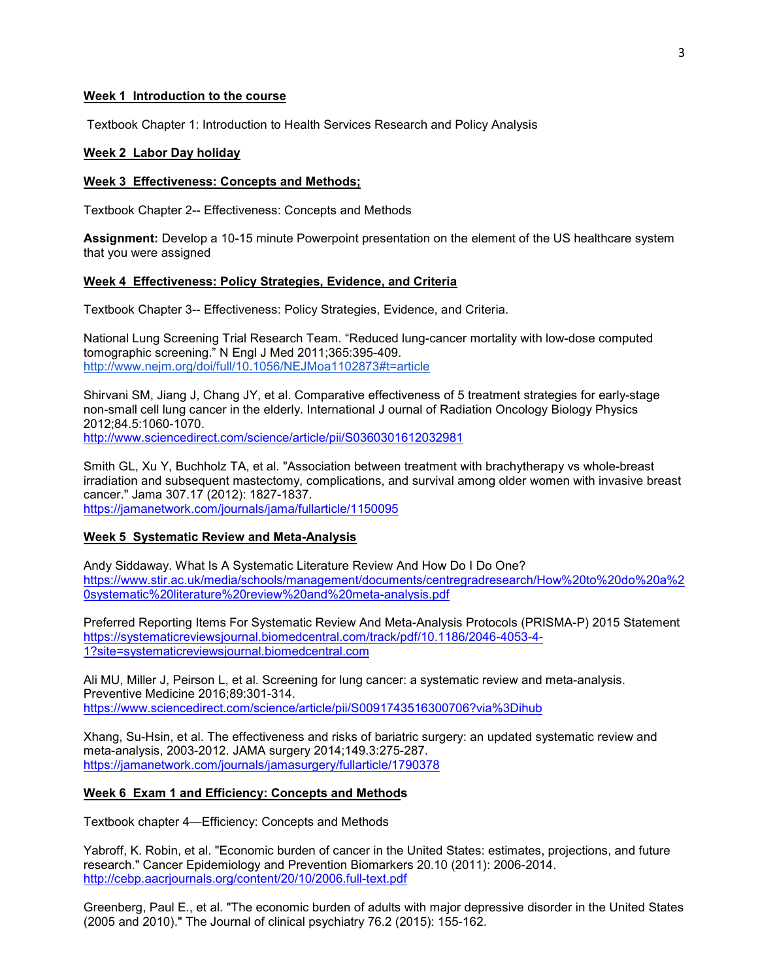#### **Week 1 Introduction to the course**

Textbook Chapter 1: Introduction to Health Services Research and Policy Analysis

#### **Week 2 Labor Day holiday**

#### **Week 3 Effectiveness: Concepts and Methods;**

Textbook Chapter 2-- Effectiveness: Concepts and Methods

**Assignment:** Develop a 10-15 minute Powerpoint presentation on the element of the US healthcare system that you were assigned

#### **Week 4 Effectiveness: Policy Strategies, Evidence, and Criteria**

Textbook Chapter 3-- Effectiveness: Policy Strategies, Evidence, and Criteria.

National Lung Screening Trial Research Team. "Reduced lung-cancer mortality with low-dose computed tomographic screening." N Engl J Med 2011;365:395-409. <http://www.nejm.org/doi/full/10.1056/NEJMoa1102873#t=article>

Shirvani SM, Jiang J, Chang JY, et al. Comparative effectiveness of 5 treatment strategies for early-stage non-small cell lung cancer in the elderly. International J ournal of Radiation Oncology Biology Physics 2012;84.5:1060-1070.

<http://www.sciencedirect.com/science/article/pii/S0360301612032981>

Smith GL, Xu Y, Buchholz TA, et al. "Association between treatment with brachytherapy vs whole-breast irradiation and subsequent mastectomy, complications, and survival among older women with invasive breast cancer." Jama 307.17 (2012): 1827-1837. <https://jamanetwork.com/journals/jama/fullarticle/1150095>

# **Week 5 Systematic Review and Meta-Analysis**

Andy Siddaway. What Is A Systematic Literature Review And How Do I Do One? [https://www.stir.ac.uk/media/schools/management/documents/centregradresearch/How%20to%20do%20a%2](https://www.stir.ac.uk/media/schools/management/documents/centregradresearch/How%20to%20do%20a%20systematic%20literature%20review%20and%20meta-analysis.pdf) [0systematic%20literature%20review%20and%20meta-analysis.pdf](https://www.stir.ac.uk/media/schools/management/documents/centregradresearch/How%20to%20do%20a%20systematic%20literature%20review%20and%20meta-analysis.pdf)

Preferred Reporting Items For Systematic Review And Meta-Analysis Protocols (PRISMA-P) 2015 Statement [https://systematicreviewsjournal.biomedcentral.com/track/pdf/10.1186/2046-4053-4-](https://systematicreviewsjournal.biomedcentral.com/track/pdf/10.1186/2046-4053-4-1?site=systematicreviewsjournal.biomedcentral.com) [1?site=systematicreviewsjournal.biomedcentral.com](https://systematicreviewsjournal.biomedcentral.com/track/pdf/10.1186/2046-4053-4-1?site=systematicreviewsjournal.biomedcentral.com)

Ali MU, Miller J, Peirson L, et al. Screening for lung cancer: a systematic review and meta-analysis. Preventive Medicine 2016;89:301-314. <https://www.sciencedirect.com/science/article/pii/S0091743516300706?via%3Dihub>

Xhang, Su-Hsin, et al. The effectiveness and risks of bariatric surgery: an updated systematic review and meta-analysis, 2003-2012. JAMA surgery 2014;149.3:275-287. <https://jamanetwork.com/journals/jamasurgery/fullarticle/1790378>

## **Week 6 Exam 1 and Efficiency: Concepts and Methods**

Textbook chapter 4—Efficiency: Concepts and Methods

Yabroff, K. Robin, et al. "Economic burden of cancer in the United States: estimates, projections, and future research." Cancer Epidemiology and Prevention Biomarkers 20.10 (2011): 2006-2014. <http://cebp.aacrjournals.org/content/20/10/2006.full-text.pdf>

Greenberg, Paul E., et al. "The economic burden of adults with major depressive disorder in the United States (2005 and 2010)." The Journal of clinical psychiatry 76.2 (2015): 155-162.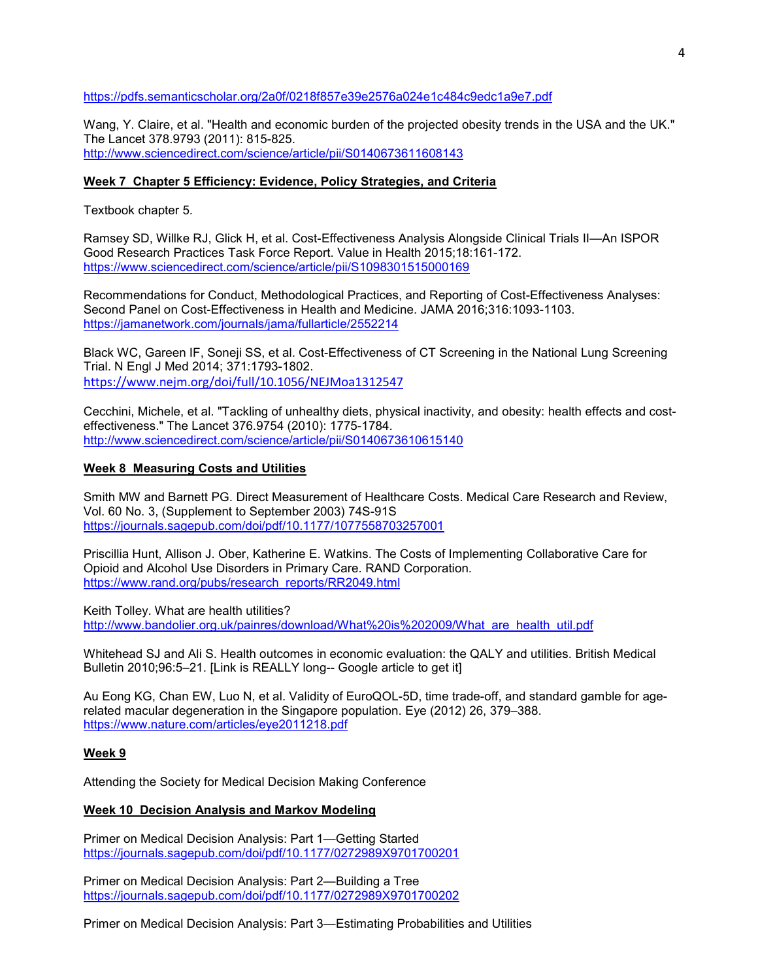<https://pdfs.semanticscholar.org/2a0f/0218f857e39e2576a024e1c484c9edc1a9e7.pdf>

Wang, Y. Claire, et al. "Health and economic burden of the projected obesity trends in the USA and the UK." The Lancet 378.9793 (2011): 815-825. <http://www.sciencedirect.com/science/article/pii/S0140673611608143>

## **Week 7 Chapter 5 Efficiency: Evidence, Policy Strategies, and Criteria**

Textbook chapter 5.

Ramsey SD, Willke RJ, Glick H, et al. Cost-Effectiveness Analysis Alongside Clinical Trials II—An ISPOR Good Research Practices Task Force Report. Value in Health 2015;18:161-172. <https://www.sciencedirect.com/science/article/pii/S1098301515000169>

Recommendations for Conduct, Methodological Practices, and Reporting of Cost-Effectiveness Analyses: Second Panel on Cost-Effectiveness in Health and Medicine. JAMA 2016;316:1093-1103. <https://jamanetwork.com/journals/jama/fullarticle/2552214>

Black WC, Gareen IF, Soneji SS, et al. Cost-Effectiveness of CT Screening in the National Lung Screening Trial. N Engl J Med 2014; 371:1793-1802. <https://www.nejm.org/doi/full/10.1056/NEJMoa1312547>

Cecchini, Michele, et al. "Tackling of unhealthy diets, physical inactivity, and obesity: health effects and costeffectiveness." The Lancet 376.9754 (2010): 1775-1784. <http://www.sciencedirect.com/science/article/pii/S0140673610615140>

# **Week 8 Measuring Costs and Utilities**

Smith MW and Barnett PG. Direct Measurement of Healthcare Costs. Medical Care Research and Review, Vol. 60 No. 3, (Supplement to September 2003) 74S-91S <https://journals.sagepub.com/doi/pdf/10.1177/1077558703257001>

Priscillia Hunt, Allison J. Ober, Katherine E. Watkins. The Costs of Implementing Collaborative Care for Opioid and Alcohol Use Disorders in Primary Care. RAND Corporation. [https://www.rand.org/pubs/research\\_reports/RR2049.html](https://www.rand.org/pubs/research_reports/RR2049.html)

Keith Tolley. What are health utilities? [http://www.bandolier.org.uk/painres/download/What%20is%202009/What\\_are\\_health\\_util.pdf](http://www.bandolier.org.uk/painres/download/What%20is%202009/What_are_health_util.pdf)

Whitehead SJ and Ali S. Health outcomes in economic evaluation: the QALY and utilities. British Medical Bulletin 2010;96:5–21. [Link is REALLY long-- Google article to get it]

Au Eong KG, Chan EW, Luo N, et al. Validity of EuroQOL-5D, time trade-off, and standard gamble for agerelated macular degeneration in the Singapore population. Eye (2012) 26, 379–388. <https://www.nature.com/articles/eye2011218.pdf>

# **Week 9**

Attending the Society for Medical Decision Making Conference

# **Week 10 Decision Analysis and Markov Modeling**

Primer on Medical Decision Analysis: Part 1—Getting Started <https://journals.sagepub.com/doi/pdf/10.1177/0272989X9701700201>

Primer on Medical Decision Analysis: Part 2—Building a Tree <https://journals.sagepub.com/doi/pdf/10.1177/0272989X9701700202>

Primer on Medical Decision Analysis: Part 3—Estimating Probabilities and Utilities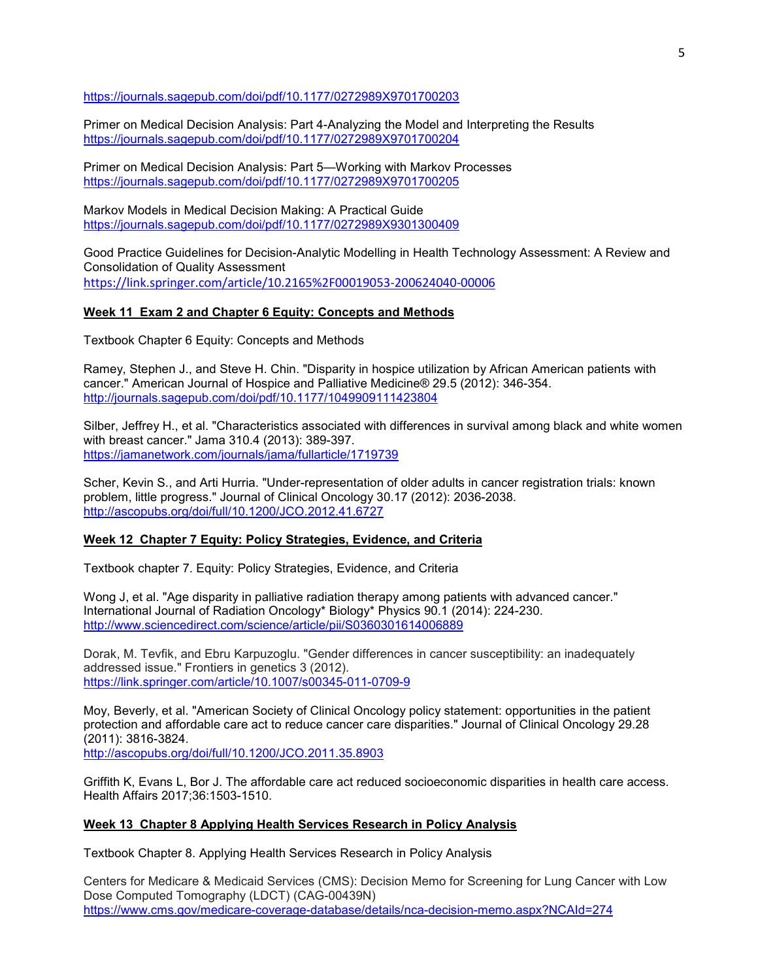<https://journals.sagepub.com/doi/pdf/10.1177/0272989X9701700203>

Primer on Medical Decision Analysis: Part 4-Analyzing the Model and Interpreting the Results <https://journals.sagepub.com/doi/pdf/10.1177/0272989X9701700204>

Primer on Medical Decision Analysis: Part 5—Working with Markov Processes <https://journals.sagepub.com/doi/pdf/10.1177/0272989X9701700205>

Markov Models in Medical Decision Making: A Practical Guide <https://journals.sagepub.com/doi/pdf/10.1177/0272989X9301300409>

Good Practice Guidelines for Decision-Analytic Modelling in Health Technology Assessment: A Review and Consolidation of Quality Assessment <https://link.springer.com/article/10.2165%2F00019053-200624040-00006>

## **Week 11 Exam 2 and Chapter 6 Equity: Concepts and Methods**

Textbook Chapter 6 Equity: Concepts and Methods

Ramey, Stephen J., and Steve H. Chin. "Disparity in hospice utilization by African American patients with cancer." American Journal of Hospice and Palliative Medicine® 29.5 (2012): 346-354. <http://journals.sagepub.com/doi/pdf/10.1177/1049909111423804>

Silber, Jeffrey H., et al. "Characteristics associated with differences in survival among black and white women with breast cancer." Jama 310.4 (2013): 389-397. <https://jamanetwork.com/journals/jama/fullarticle/1719739>

Scher, Kevin S., and Arti Hurria. "Under-representation of older adults in cancer registration trials: known problem, little progress." Journal of Clinical Oncology 30.17 (2012): 2036-2038. <http://ascopubs.org/doi/full/10.1200/JCO.2012.41.6727>

#### **Week 12 Chapter 7 Equity: Policy Strategies, Evidence, and Criteria**

Textbook chapter 7. Equity: Policy Strategies, Evidence, and Criteria

Wong J, et al. "Age disparity in palliative radiation therapy among patients with advanced cancer." International Journal of Radiation Oncology\* Biology\* Physics 90.1 (2014): 224-230. <http://www.sciencedirect.com/science/article/pii/S0360301614006889>

Dorak, M. Tevfik, and Ebru Karpuzoglu. "Gender differences in cancer susceptibility: an inadequately addressed issue." Frontiers in genetics 3 (2012). <https://link.springer.com/article/10.1007/s00345-011-0709-9>

Moy, Beverly, et al. "American Society of Clinical Oncology policy statement: opportunities in the patient protection and affordable care act to reduce cancer care disparities." Journal of Clinical Oncology 29.28 (2011): 3816-3824. <http://ascopubs.org/doi/full/10.1200/JCO.2011.35.8903>

Griffith K, Evans L, Bor J. The affordable care act reduced socioeconomic disparities in health care access. Health Affairs 2017;36:1503-1510.

#### **Week 13 Chapter 8 Applying Health Services Research in Policy Analysis**

Textbook Chapter 8. Applying Health Services Research in Policy Analysis

Centers for Medicare & Medicaid Services (CMS): Decision Memo for Screening for Lung Cancer with Low Dose Computed Tomography (LDCT) (CAG-00439N) <https://www.cms.gov/medicare-coverage-database/details/nca-decision-memo.aspx?NCAId=274>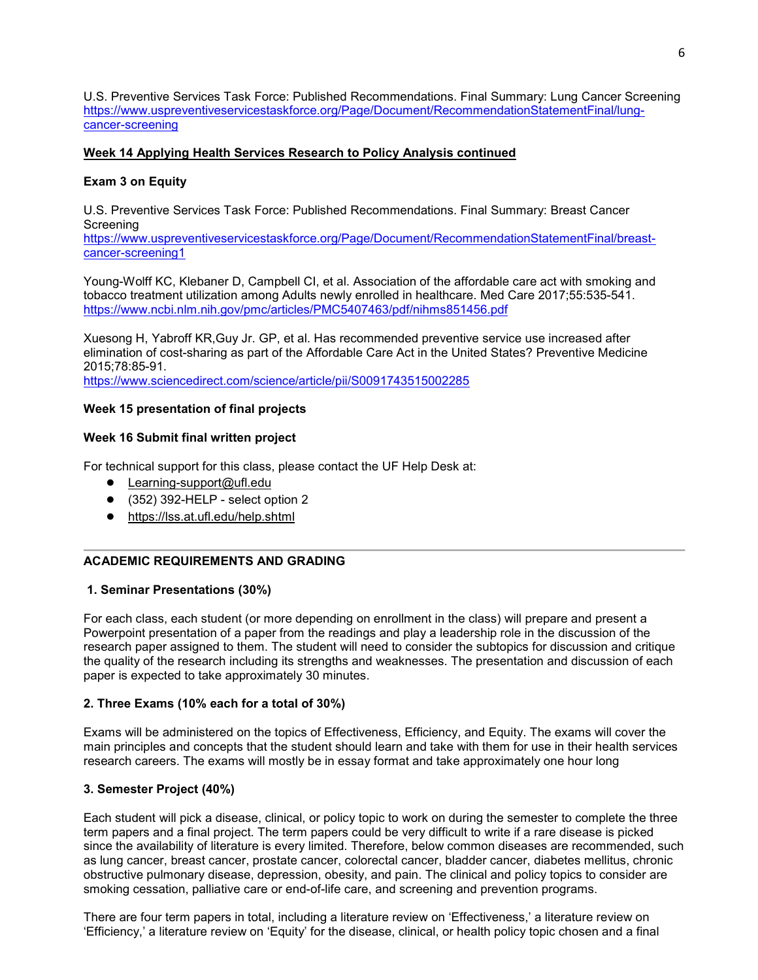U.S. Preventive Services Task Force: Published Recommendations. Final Summary: Lung Cancer Screening [https://www.uspreventiveservicestaskforce.org/Page/Document/RecommendationStatementFinal/lung](https://www.uspreventiveservicestaskforce.org/Page/Document/RecommendationStatementFinal/lung-cancer-screening)[cancer-screening](https://www.uspreventiveservicestaskforce.org/Page/Document/RecommendationStatementFinal/lung-cancer-screening)

# **Week 14 Applying Health Services Research to Policy Analysis continued**

# **Exam 3 on Equity**

U.S. Preventive Services Task Force: Published Recommendations. Final Summary: Breast Cancer **Screening** 

[https://www.uspreventiveservicestaskforce.org/Page/Document/RecommendationStatementFinal/breast](https://www.uspreventiveservicestaskforce.org/Page/Document/RecommendationStatementFinal/breast-cancer-screening1)[cancer-screening1](https://www.uspreventiveservicestaskforce.org/Page/Document/RecommendationStatementFinal/breast-cancer-screening1)

Young-Wolff KC, Klebaner D, Campbell CI, et al. Association of the affordable care act with smoking and tobacco treatment utilization among Adults newly enrolled in healthcare. Med Care 2017;55:535-541. <https://www.ncbi.nlm.nih.gov/pmc/articles/PMC5407463/pdf/nihms851456.pdf>

Xuesong H, Yabroff KR,Guy Jr. GP, et al. Has recommended preventive service use increased after elimination of cost-sharing as part of the Affordable Care Act in the United States? [Preventive Medicine](https://www.sciencedirect.com/science/journal/00917435) 2015[;78:](https://www.sciencedirect.com/science/journal/00917435/78/supp/C)85-91.

<https://www.sciencedirect.com/science/article/pii/S0091743515002285>

## **Week 15 presentation of final projects**

## **Week 16 Submit final written project**

For technical support for this class, please contact the UF Help Desk at:

- [Learning-support@ufl.edu](about:blank)
- $\bullet$  (352) 392-HELP select option 2
- <https://lss.at.ufl.edu/help.shtml>

## **ACADEMIC REQUIREMENTS AND GRADING**

## **1. Seminar Presentations (30%)**

For each class, each student (or more depending on enrollment in the class) will prepare and present a Powerpoint presentation of a paper from the readings and play a leadership role in the discussion of the research paper assigned to them. The student will need to consider the subtopics for discussion and critique the quality of the research including its strengths and weaknesses. The presentation and discussion of each paper is expected to take approximately 30 minutes.

## **2. Three Exams (10% each for a total of 30%)**

Exams will be administered on the topics of Effectiveness, Efficiency, and Equity. The exams will cover the main principles and concepts that the student should learn and take with them for use in their health services research careers. The exams will mostly be in essay format and take approximately one hour long

## **3. Semester Project (40%)**

Each student will pick a disease, clinical, or policy topic to work on during the semester to complete the three term papers and a final project. The term papers could be very difficult to write if a rare disease is picked since the availability of literature is every limited. Therefore, below common diseases are recommended, such as lung cancer, breast cancer, prostate cancer, colorectal cancer, bladder cancer, diabetes mellitus, chronic obstructive pulmonary disease, depression, obesity, and pain. The clinical and policy topics to consider are smoking cessation, palliative care or end-of-life care, and screening and prevention programs.

There are four term papers in total, including a literature review on 'Effectiveness,' a literature review on 'Efficiency,' a literature review on 'Equity' for the disease, clinical, or health policy topic chosen and a final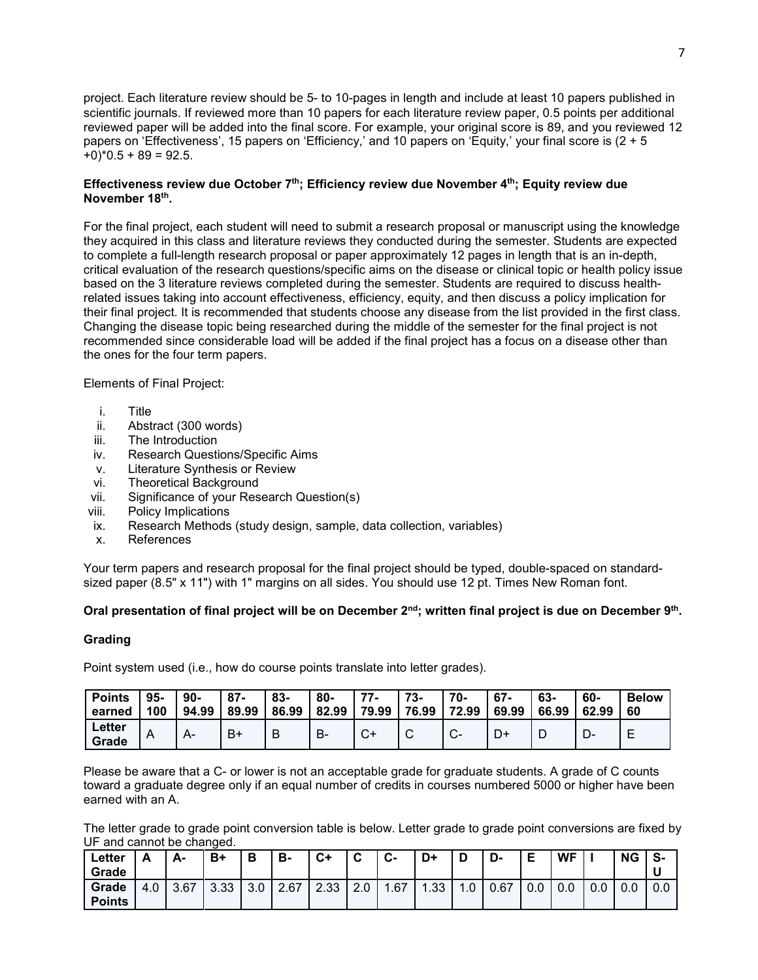project. Each literature review should be 5- to 10-pages in length and include at least 10 papers published in scientific journals. If reviewed more than 10 papers for each literature review paper, 0.5 points per additional reviewed paper will be added into the final score. For example, your original score is 89, and you reviewed 12 papers on 'Effectiveness', 15 papers on 'Efficiency,' and 10 papers on 'Equity,' your final score is (2 + 5  $+0$ <sup>\*</sup>0.5 + 89 = 92.5.

## Effectiveness review due October 7<sup>th</sup>; Efficiency review due November 4<sup>th</sup>; Equity review due **November 18th.**

For the final project, each student will need to submit a research proposal or manuscript using the knowledge they acquired in this class and literature reviews they conducted during the semester. Students are expected to complete a full-length research proposal or paper approximately 12 pages in length that is an in-depth, critical evaluation of the research questions/specific aims on the disease or clinical topic or health policy issue based on the 3 literature reviews completed during the semester. Students are required to discuss healthrelated issues taking into account effectiveness, efficiency, equity, and then discuss a policy implication for their final project. It is recommended that students choose any disease from the list provided in the first class. Changing the disease topic being researched during the middle of the semester for the final project is not recommended since considerable load will be added if the final project has a focus on a disease other than the ones for the four term papers.

Elements of Final Project:

- i. Title
- ii. Abstract (300 words)
- iii. The Introduction
- iv. Research Questions/Specific Aims
- v. Literature Synthesis or Review
- vi. Theoretical Background
- vii. Significance of your Research Question(s)
- viii. Policy Implications
- ix. Research Methods (study design, sample, data collection, variables)
- x. References

Your term papers and research proposal for the final project should be typed, double-spaced on standardsized paper (8.5" x 11") with 1" margins on all sides. You should use 12 pt. Times New Roman font.

## **Oral presentation of final project will be on December 2nd; written final project is due on December 9th.**

#### **Grading**

Point system used (i.e., how do course points translate into letter grades).

| <b>Points</b>   | 95- | $90 -$ | $87 -$ | 83-   | 80-   | 77    | 73-   | 70-                       | $67 -$ | 63-   | 60-   | <b>Below</b> |
|-----------------|-----|--------|--------|-------|-------|-------|-------|---------------------------|--------|-------|-------|--------------|
| earned          | 100 | 94.99  | 89.99  | 86.99 | 82.99 | 79.99 | 76.99 | 72.99                     | 69.99  | 66.99 | 62.99 | 60           |
| Letter<br>Grade | A   | А-     | $B+$   | B     | B-    | $C+$  | ີ     | $\mathbf{C}^{\mathsf{m}}$ | D      | ۱D    | −∪    |              |

Please be aware that a C- or lower is not an acceptable grade for graduate students. A grade of C counts toward a graduate degree only if an equal number of credits in courses numbered 5000 or higher have been earned with an A.

The letter grade to grade point conversion table is below. Letter grade to grade point conversions are fixed by UF and cannot be changed.

| Letter<br>Grade        | Δ<br>г. | А-   | $B+$ | в   | в-   | $C+$ | ⌒<br>v     | $\sim$<br>ს- | D+               | D   | D-   | F<br>- | <b>WF</b> |     | <b>NG</b> | -S<br>u              |
|------------------------|---------|------|------|-----|------|------|------------|--------------|------------------|-----|------|--------|-----------|-----|-----------|----------------------|
| Grade<br><b>Points</b> | 4.0     | 3.67 | 3.33 | 3.0 | 2.67 | 2.33 | റ റ<br>z.u | 1.67         | .33 <sub>1</sub> | 1.0 | 0.67 | 0.0    | 0.0       | 0.0 | 0.0       | $\cap$ $\cap$<br>v.v |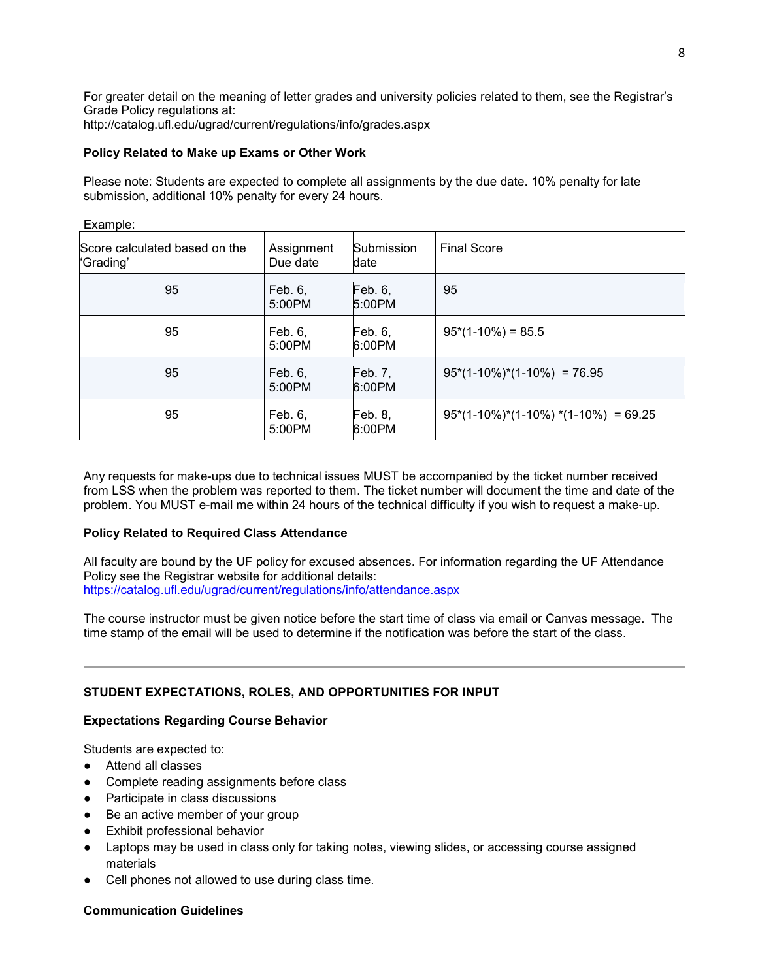For greater detail on the meaning of letter grades and university policies related to them, see the Registrar's Grade Policy regulations at: <http://catalog.ufl.edu/ugrad/current/regulations/info/grades.aspx>

# **Policy Related to Make up Exams or Other Work**

Please note: Students are expected to complete all assignments by the due date. 10% penalty for late submission, additional 10% penalty for every 24 hours.

Example:

| Score calculated based on the<br>'Grading' | Assignment<br>Due date | <b>Submission</b><br>date | <b>Final Score</b>                      |
|--------------------------------------------|------------------------|---------------------------|-----------------------------------------|
| 95                                         | Feb. $6$ ,<br>5:00PM   | Feb. 6<br>5:00PM          | 95                                      |
| 95                                         | Feb. $6$ ,<br>5:00PM   | Feb. 6<br>6:00PM          | $95*(1-10\%) = 85.5$                    |
| 95                                         | Feb. 6,<br>5:00PM      | Feb. 7,<br>6:00PM         | $95*(1-10\%)*(1-10\%) = 76.95$          |
| 95                                         | Feb. 6,<br>5:00PM      | <b>Feb. 8,</b><br>6:00PM  | $95*(1-10\%)*(1-10\%)*(1-10\%) = 69.25$ |

Any requests for make-ups due to technical issues MUST be accompanied by the ticket number received from LSS when the problem was reported to them. The ticket number will document the time and date of the problem. You MUST e-mail me within 24 hours of the technical difficulty if you wish to request a make-up.

## **Policy Related to Required Class Attendance**

All faculty are bound by the UF policy for excused absences. For information regarding the UF Attendance Policy see the Registrar website for additional details: <https://catalog.ufl.edu/ugrad/current/regulations/info/attendance.aspx>

The course instructor must be given notice before the start time of class via email or Canvas message. The time stamp of the email will be used to determine if the notification was before the start of the class.

# **STUDENT EXPECTATIONS, ROLES, AND OPPORTUNITIES FOR INPUT**

## **Expectations Regarding Course Behavior**

Students are expected to:

- Attend all classes
- Complete reading assignments before class
- Participate in class discussions
- Be an active member of your group
- **Exhibit professional behavior**
- Laptops may be used in class only for taking notes, viewing slides, or accessing course assigned materials
- Cell phones not allowed to use during class time.

## **Communication Guidelines**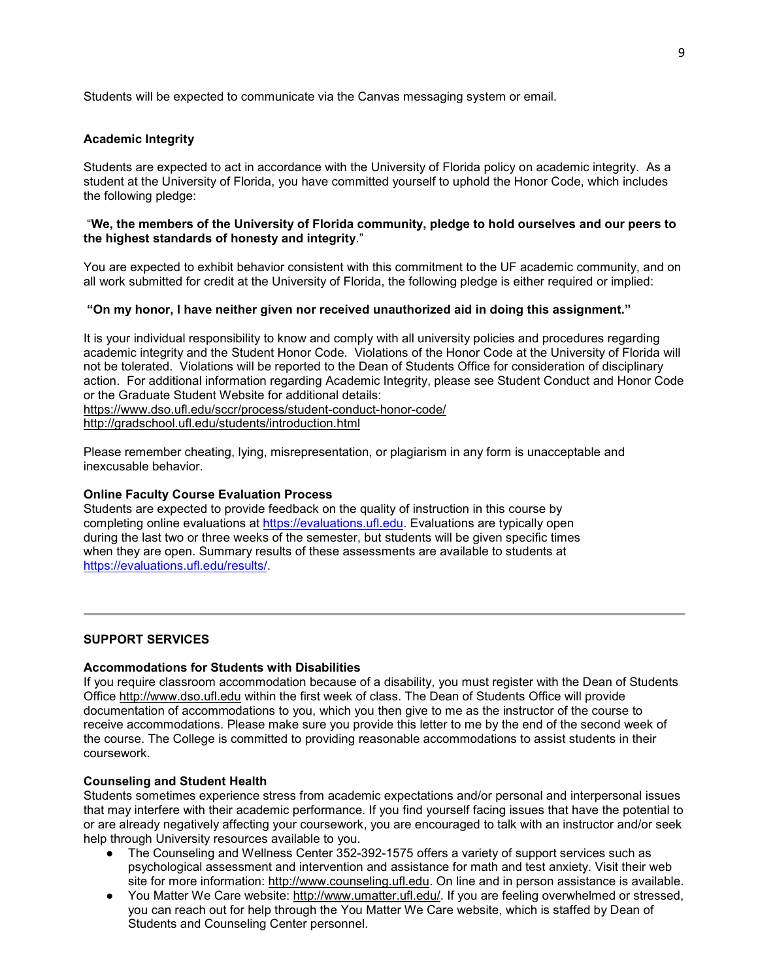Students will be expected to communicate via the Canvas messaging system or email.

# **Academic Integrity**

Students are expected to act in accordance with the University of Florida policy on academic integrity. As a student at the University of Florida, you have committed yourself to uphold the Honor Code, which includes the following pledge:

## "**We, the members of the University of Florida community, pledge to hold ourselves and our peers to the highest standards of honesty and integrity**."

You are expected to exhibit behavior consistent with this commitment to the UF academic community, and on all work submitted for credit at the University of Florida, the following pledge is either required or implied:

# **"On my honor, I have neither given nor received unauthorized aid in doing this assignment."**

It is your individual responsibility to know and comply with all university policies and procedures regarding academic integrity and the Student Honor Code. Violations of the Honor Code at the University of Florida will not be tolerated. Violations will be reported to the Dean of Students Office for consideration of disciplinary action. For additional information regarding Academic Integrity, please see Student Conduct and Honor Code or the Graduate Student Website for additional details:

<https://www.dso.ufl.edu/sccr/process/student-conduct-honor-code/>

<http://gradschool.ufl.edu/students/introduction.html>

Please remember cheating, lying, misrepresentation, or plagiarism in any form is unacceptable and inexcusable behavior.

## **Online Faculty Course Evaluation Process**

Students are expected to provide feedback on the quality of instruction in this course by completing online evaluations at [https://evaluations.ufl.edu.](https://evaluations.ufl.edu/) Evaluations are typically open during the last two or three weeks of the semester, but students will be given specific times when they are open. Summary results of these assessments are available to students at [https://evaluations.ufl.edu/results/.](https://evaluations.ufl.edu/results/)

## **SUPPORT SERVICES**

# **Accommodations for Students with Disabilities**

If you require classroom accommodation because of a disability, you must register with the Dean of Students Office [http://www.dso.ufl.edu](http://www.dso.ufl.edu/) within the first week of class. The Dean of Students Office will provide documentation of accommodations to you, which you then give to me as the instructor of the course to receive accommodations. Please make sure you provide this letter to me by the end of the second week of the course. The College is committed to providing reasonable accommodations to assist students in their coursework.

## **Counseling and Student Health**

Students sometimes experience stress from academic expectations and/or personal and interpersonal issues that may interfere with their academic performance. If you find yourself facing issues that have the potential to or are already negatively affecting your coursework, you are encouraged to talk with an instructor and/or seek help through University resources available to you.

- The Counseling and Wellness Center 352-392-1575 offers a variety of support services such as psychological assessment and intervention and assistance for math and test anxiety. Visit their web site for more information: [http://www.counseling.ufl.edu.](http://www.counseling.ufl.edu/) On line and in person assistance is available.
- You Matter We Care website: [http://www.umatter.ufl.edu/.](http://www.umatter.ufl.edu/) If you are feeling overwhelmed or stressed, you can reach out for help through the You Matter We Care website, which is staffed by Dean of Students and Counseling Center personnel.